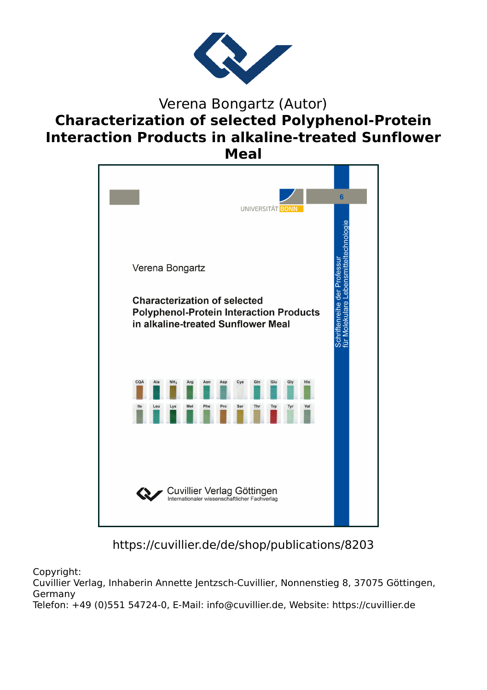

## Verena Bongartz (Autor) **Characterization of selected Polyphenol-Protein Interaction Products in alkaline-treated Sunflower Meal**



## https://cuvillier.de/de/shop/publications/8203

Copyright:

Cuvillier Verlag, Inhaberin Annette Jentzsch-Cuvillier, Nonnenstieg 8, 37075 Göttingen, Germany

Telefon: +49 (0)551 54724-0, E-Mail: info@cuvillier.de, Website: https://cuvillier.de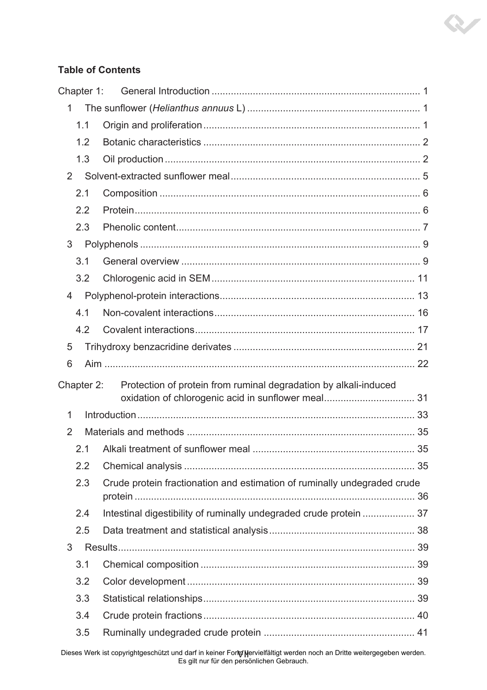## **Table of Contents**

|                | Chapter 1: |                                                                          |  |
|----------------|------------|--------------------------------------------------------------------------|--|
| 1              |            |                                                                          |  |
|                | 1.1        |                                                                          |  |
|                | 1.2        |                                                                          |  |
|                | 1.3        |                                                                          |  |
| $\mathfrak{p}$ |            |                                                                          |  |
|                | 2.1        |                                                                          |  |
|                | 2.2        |                                                                          |  |
|                | 2.3        |                                                                          |  |
| 3              |            |                                                                          |  |
|                | 3.1        |                                                                          |  |
|                | 3.2        |                                                                          |  |
| 4              |            |                                                                          |  |
|                | 4.1        |                                                                          |  |
|                | 4.2        |                                                                          |  |
| 5              |            |                                                                          |  |
| 6              |            |                                                                          |  |
|                | Chapter 2: | Protection of protein from ruminal degradation by alkali-induced         |  |
|                |            | oxidation of chlorogenic acid in sunflower meal 31                       |  |
| 1              |            |                                                                          |  |
| 2              |            |                                                                          |  |
|                | 2.1        |                                                                          |  |
|                | 2.2        |                                                                          |  |
|                | 2.3        | Crude protein fractionation and estimation of ruminally undegraded crude |  |
|                |            |                                                                          |  |
|                | 2.4        | Intestinal digestibility of ruminally undegraded crude protein  37       |  |
|                | 2.5        |                                                                          |  |
| 3              |            |                                                                          |  |
|                | 3.1        |                                                                          |  |
|                | 3.2        |                                                                          |  |
|                | 3.3        |                                                                          |  |
|                | 3.4        |                                                                          |  |
|                |            |                                                                          |  |